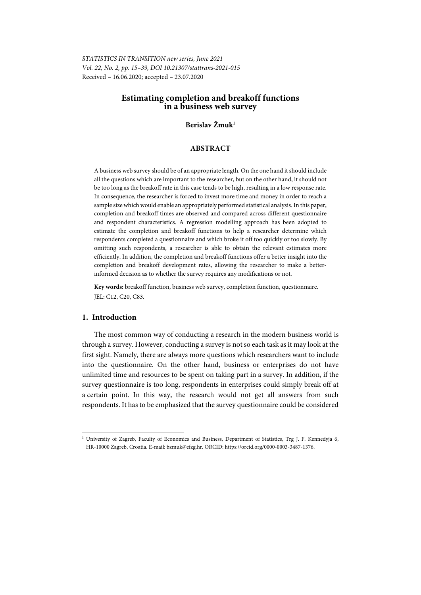*STATISTICS IN TRANSITION new series, June 2021 Vol. 22, No. 2, pp. 15–39, DOI 10.21307/stattrans-2021-015*  Received – 16.06.2020; accepted – 23.07.2020

# **Estimating completion and breakoff functions in a business web survey**

# **Berislav Žmuk1**

# **ABSTRACT**

A business web survey should be of an appropriate length. On the one hand it should include all the questions which are important to the researcher, but on the other hand, it should not be too long as the breakoff rate in this case tends to be high, resulting in a low response rate. In consequence, the researcher is forced to invest more time and money in order to reach a sample size which would enable an appropriately performed statistical analysis. In this paper, completion and breakoff times are observed and compared across different questionnaire and respondent characteristics. A regression modelling approach has been adopted to estimate the completion and breakoff functions to help a researcher determine which respondents completed a questionnaire and which broke it off too quickly or too slowly. By omitting such respondents, a researcher is able to obtain the relevant estimates more efficiently. In addition, the completion and breakoff functions offer a better insight into the completion and breakoff development rates, allowing the researcher to make a betterinformed decision as to whether the survey requires any modifications or not.

**Key words:** breakoff function, business web survey, completion function, questionnaire. JEL: C12, C20, C83.

## **1. Introduction**

l

The most common way of conducting a research in the modern business world is through a survey. However, conducting a survey is not so each task as it may look at the first sight. Namely, there are always more questions which researchers want to include into the questionnaire. On the other hand, business or enterprises do not have unlimited time and resources to be spent on taking part in a survey. In addition, if the survey questionnaire is too long, respondents in enterprises could simply break off at a certain point. In this way, the research would not get all answers from such respondents. It has to be emphasized that the survey questionnaire could be considered

<sup>&</sup>lt;sup>1</sup> University of Zagreb, Faculty of Economics and Business, Department of Statistics, Trg J. F. Kennedyja 6, HR-10000 Zagreb, Croatia. E-mail: bzmuk@efzg.hr. ORCID: https://orcid.org/0000-0003-3487-1376.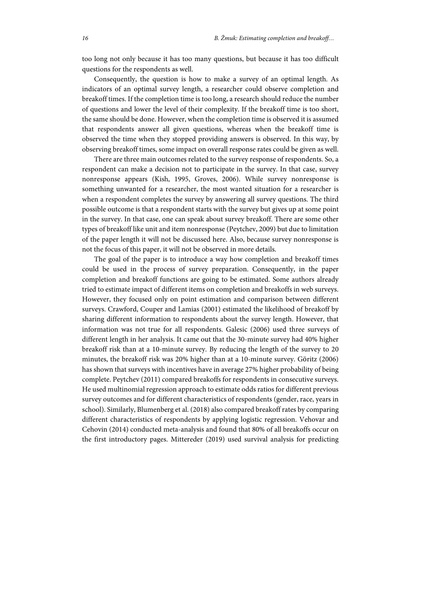too long not only because it has too many questions, but because it has too difficult questions for the respondents as well.

Consequently, the question is how to make a survey of an optimal length. As indicators of an optimal survey length, a researcher could observe completion and breakoff times. If the completion time is too long, a research should reduce the number of questions and lower the level of their complexity. If the breakoff time is too short, the same should be done. However, when the completion time is observed it is assumed that respondents answer all given questions, whereas when the breakoff time is observed the time when they stopped providing answers is observed. In this way, by observing breakoff times, some impact on overall response rates could be given as well.

There are three main outcomes related to the survey response of respondents. So, a respondent can make a decision not to participate in the survey. In that case, survey nonresponse appears (Kish, 1995, Groves, 2006). While survey nonresponse is something unwanted for a researcher, the most wanted situation for a researcher is when a respondent completes the survey by answering all survey questions. The third possible outcome is that a respondent starts with the survey but gives up at some point in the survey. In that case, one can speak about survey breakoff. There are some other types of breakoff like unit and item nonresponse (Peytchev, 2009) but due to limitation of the paper length it will not be discussed here. Also, because survey nonresponse is not the focus of this paper, it will not be observed in more details.

The goal of the paper is to introduce a way how completion and breakoff times could be used in the process of survey preparation. Consequently, in the paper completion and breakoff functions are going to be estimated. Some authors already tried to estimate impact of different items on completion and breakoffs in web surveys. However, they focused only on point estimation and comparison between different surveys. Crawford, Couper and Lamias (2001) estimated the likelihood of breakoff by sharing different information to respondents about the survey length. However, that information was not true for all respondents. Galesic (2006) used three surveys of different length in her analysis. It came out that the 30-minute survey had 40% higher breakoff risk than at a 10-minute survey. By reducing the length of the survey to 20 minutes, the breakoff risk was 20% higher than at a 10-minute survey. Göritz (2006) has shown that surveys with incentives have in average 27% higher probability of being complete. Peytchev (2011) compared breakoffs for respondents in consecutive surveys. He used multinomial regression approach to estimate odds ratios for different previous survey outcomes and for different characteristics of respondents (gender, race, years in school). Similarly, Blumenberg et al. (2018) also compared breakoff rates by comparing different characteristics of respondents by applying logistic regression. Vehovar and Cehovin (2014) conducted meta-analysis and found that 80% of all breakoffs occur on the first introductory pages. Mittereder (2019) used survival analysis for predicting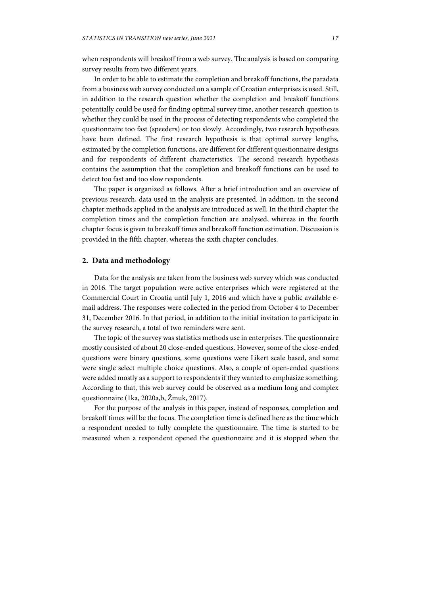when respondents will breakoff from a web survey. The analysis is based on comparing survey results from two different years.

In order to be able to estimate the completion and breakoff functions, the paradata from a business web survey conducted on a sample of Croatian enterprises is used. Still, in addition to the research question whether the completion and breakoff functions potentially could be used for finding optimal survey time, another research question is whether they could be used in the process of detecting respondents who completed the questionnaire too fast (speeders) or too slowly. Accordingly, two research hypotheses have been defined. The first research hypothesis is that optimal survey lengths, estimated by the completion functions, are different for different questionnaire designs and for respondents of different characteristics. The second research hypothesis contains the assumption that the completion and breakoff functions can be used to detect too fast and too slow respondents.

The paper is organized as follows. After a brief introduction and an overview of previous research, data used in the analysis are presented. In addition, in the second chapter methods applied in the analysis are introduced as well. In the third chapter the completion times and the completion function are analysed, whereas in the fourth chapter focus is given to breakoff times and breakoff function estimation. Discussion is provided in the fifth chapter, whereas the sixth chapter concludes.

# **2. Data and methodology**

Data for the analysis are taken from the business web survey which was conducted in 2016. The target population were active enterprises which were registered at the Commercial Court in Croatia until July 1, 2016 and which have a public available email address. The responses were collected in the period from October 4 to December 31, December 2016. In that period, in addition to the initial invitation to participate in the survey research, a total of two reminders were sent.

The topic of the survey was statistics methods use in enterprises. The questionnaire mostly consisted of about 20 close-ended questions. However, some of the close-ended questions were binary questions, some questions were Likert scale based, and some were single select multiple choice questions. Also, a couple of open-ended questions were added mostly as a support to respondents if they wanted to emphasize something. According to that, this web survey could be observed as a medium long and complex questionnaire (1ka, 2020a,b, Žmuk, 2017).

For the purpose of the analysis in this paper, instead of responses, completion and breakoff times will be the focus. The completion time is defined here as the time which a respondent needed to fully complete the questionnaire. The time is started to be measured when a respondent opened the questionnaire and it is stopped when the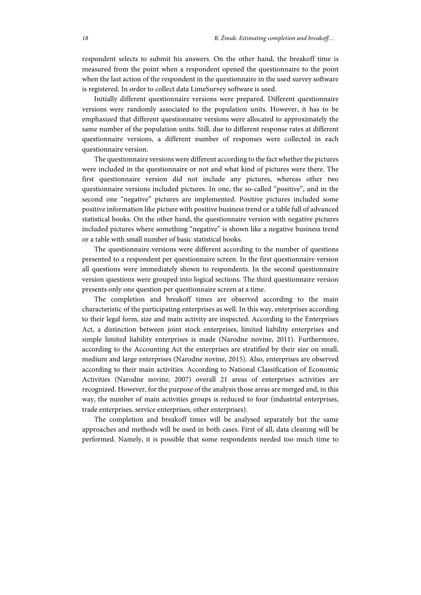respondent selects to submit his answers. On the other hand, the breakoff time is measured from the point when a respondent opened the questionnaire to the point when the last action of the respondent in the questionnaire in the used survey software is registered. In order to collect data LimeSurvey software is used.

Initially different questionnaire versions were prepared. Different questionnaire versions were randomly associated to the population units. However, it has to be emphasized that different questionnaire versions were allocated to approximately the same number of the population units. Still, due to different response rates at different questionnaire versions, a different number of responses were collected in each questionnaire version.

The questionnaire versions were different according to the fact whether the pictures were included in the questionnaire or not and what kind of pictures were there. The first questionnaire version did not include any pictures, whereas other two questionnaire versions included pictures. In one, the so-called "positive", and in the second one "negative" pictures are implemented. Positive pictures included some positive information like picture with positive business trend or a table full of advanced statistical books. On the other hand, the questionnaire version with negative pictures included pictures where something "negative" is shown like a negative business trend or a table with small number of basic statistical books.

The questionnaire versions were different according to the number of questions presented to a respondent per questionnaire screen. In the first questionnaire version all questions were immediately shown to respondents. In the second questionnaire version questions were grouped into logical sections. The third questionnaire version presents only one question per questionnaire screen at a time.

The completion and breakoff times are observed according to the main characteristic of the participating enterprises as well. In this way, enterprises according to their legal form, size and main activity are inspected. According to the Enterprises Act, a distinction between joint stock enterprises, limited liability enterprises and simple limited liability enterprises is made (Narodne novine, 2011). Furthermore, according to the Accounting Act the enterprises are stratified by their size on small, medium and large enterprises (Narodne novine, 2015). Also, enterprises are observed according to their main activities. According to National Classification of Economic Activities (Narodne novine, 2007) overall 21 areas of enterprises activities are recognized. However, for the purpose of the analysis those areas are merged and, in this way, the number of main activities groups is reduced to four (industrial enterprises, trade enterprises, service enterprises, other enterprises).

The completion and breakoff times will be analysed separately but the same approaches and methods will be used in both cases. First of all, data cleaning will be performed. Namely, it is possible that some respondents needed too much time to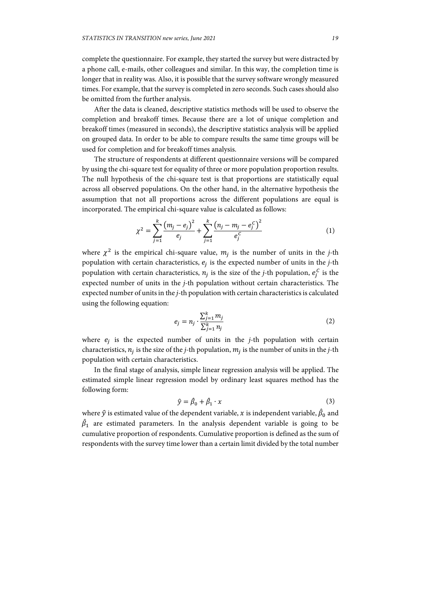complete the questionnaire. For example, they started the survey but were distracted by a phone call, e-mails, other colleagues and similar. In this way, the completion time is longer that in reality was. Also, it is possible that the survey software wrongly measured times. For example, that the survey is completed in zero seconds. Such cases should also be omitted from the further analysis.

After the data is cleaned, descriptive statistics methods will be used to observe the completion and breakoff times. Because there are a lot of unique completion and breakoff times (measured in seconds), the descriptive statistics analysis will be applied on grouped data. In order to be able to compare results the same time groups will be used for completion and for breakoff times analysis.

The structure of respondents at different questionnaire versions will be compared by using the chi-square test for equality of three or more population proportion results. The null hypothesis of the chi-square test is that proportions are statistically equal across all observed populations. On the other hand, in the alternative hypothesis the assumption that not all proportions across the different populations are equal is incorporated. The empirical chi-square value is calculated as follows:

$$
\chi^{2} = \sum_{j=1}^{k} \frac{(m_{j} - e_{j})^{2}}{e_{j}} + \sum_{j=1}^{k} \frac{(n_{j} - m_{j} - e_{j}^{C})^{2}}{e_{j}^{C}}
$$
(1)

where  $\chi^2$  is the empirical chi-square value,  $m_i$  is the number of units in the *j*-th population with certain characteristics,  $e_i$  is the expected number of units in the  $j$ -th population with certain characteristics,  $n_j$  is the size of the *j*-th population,  $e_j^C$  is the expected number of units in the *j-*th population without certain characteristics. The expected number of units in the *j-*th population with certain characteristics is calculated using the following equation:

$$
e_j = n_j \cdot \frac{\sum_{j=1}^k m_j}{\sum_{j=1}^k n_j} \tag{2}
$$

where  $e_i$  is the expected number of units in the *j*-th population with certain characteristics,  $n_i$  is the size of the *j*-th population,  $m_i$  is the number of units in the *j*-th population with certain characteristics.

In the final stage of analysis, simple linear regression analysis will be applied. The estimated simple linear regression model by ordinary least squares method has the following form:

$$
\hat{y} = \hat{\beta}_0 + \hat{\beta}_1 \cdot x \tag{3}
$$

where  $\hat{y}$  is estimated value of the dependent variable,  $x$  is independent variable,  $\hat{\beta}_0$  and  $\hat{\beta}_1$  are estimated parameters. In the analysis dependent variable is going to be cumulative proportion of respondents. Cumulative proportion is defined as the sum of respondents with the survey time lower than a certain limit divided by the total number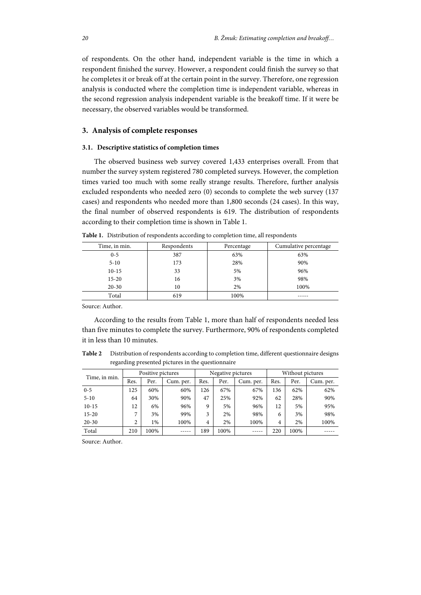of respondents. On the other hand, independent variable is the time in which a respondent finished the survey. However, a respondent could finish the survey so that he completes it or break off at the certain point in the survey. Therefore, one regression analysis is conducted where the completion time is independent variable, whereas in the second regression analysis independent variable is the breakoff time. If it were be necessary, the observed variables would be transformed.

## **3. Analysis of complete responses**

#### **3.1. Descriptive statistics of completion times**

The observed business web survey covered 1,433 enterprises overall. From that number the survey system registered 780 completed surveys. However, the completion times varied too much with some really strange results. Therefore, further analysis excluded respondents who needed zero (0) seconds to complete the web survey (137 cases) and respondents who needed more than 1,800 seconds (24 cases). In this way, the final number of observed respondents is 619. The distribution of respondents according to their completion time is shown in Table 1.

| Time, in min. | Respondents | Percentage | Cumulative percentage |
|---------------|-------------|------------|-----------------------|
| $0 - 5$       | 387         | 63%        | 63%                   |
| $5-10$        | 173         | 28%        | 90%                   |
| $10-15$       | 33          | 5%         | 96%                   |
| $15 - 20$     | 16          | 3%         | 98%                   |
| $20 - 30$     | 10          | 2%         | 100%                  |
| Total         | 619         | 100%       |                       |

**Table 1.** Distribution of respondents according to completion time, all respondents

Source: Author.

According to the results from Table 1, more than half of respondents needed less than five minutes to complete the survey. Furthermore, 90% of respondents completed it in less than 10 minutes.

**Table 2** Distribution of respondents according to completion time, different questionnaire designs regarding presented pictures in the questionnaire

| Time, in min. |      | Positive pictures |           |      | Negative pictures |           |      | Without pictures |           |  |
|---------------|------|-------------------|-----------|------|-------------------|-----------|------|------------------|-----------|--|
|               | Res. | Per.              | Cum. per. | Res. | Per.              | Cum. per. | Res. | Per.             | Cum. per. |  |
| $0 - 5$       | 125  | 60%               | 60%       | 126  | 67%               | 67%       | 136  | 62%              | 62%       |  |
| $5 - 10$      | 64   | 30%               | 90%       | 47   | 25%               | 92%       | 62   | 28%              | 90%       |  |
| $10-15$       | 12   | 6%                | 96%       | 9    | 5%                | 96%       | 12   | 5%               | 95%       |  |
| $15 - 20$     |      | 3%                | 99%       | 3    | 2%                | 98%       | 6    | 3%               | 98%       |  |
| $20 - 30$     |      | 1%                | 100%      | 4    | 2%                | 100%      | 4    | 2%               | 100%      |  |
| Total         | 210  | 100%              | -----     | 189  | 100%              |           | 220  | 100%             |           |  |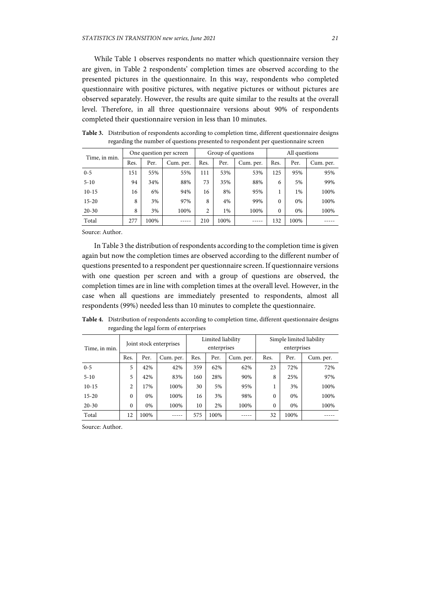While Table 1 observes respondents no matter which questionnaire version they are given, in Table 2 respondents' completion times are observed according to the presented pictures in the questionnaire. In this way, respondents who completed questionnaire with positive pictures, with negative pictures or without pictures are observed separately. However, the results are quite similar to the results at the overall level. Therefore, in all three questionnaire versions about 90% of respondents completed their questionnaire version in less than 10 minutes.

| Time, in min. | One question per screen |      |           |      | Group of questions |           |              | All questions |           |  |
|---------------|-------------------------|------|-----------|------|--------------------|-----------|--------------|---------------|-----------|--|
|               | Res.                    | Per. | Cum. per. | Res. | Per.               | Cum. per. | Res.         | Per.          | Cum. per. |  |
| $0 - 5$       | 151                     | 55%  | 55%       | 111  | 53%                | 53%       | 125          | 95%           | 95%       |  |
| $5 - 10$      | 94                      | 34%  | 88%       | 73   | 35%                | 88%       | 6            | 5%            | 99%       |  |
| $10-15$       | 16                      | 6%   | 94%       | 16   | 8%                 | 95%       |              | $1\%$         | 100%      |  |
| $15 - 20$     | 8                       | 3%   | 97%       | 8    | 4%                 | 99%       | $\Omega$     | 0%            | 100%      |  |
| $20 - 30$     | 8                       | 3%   | 100%      | 2    | 1%                 | 100%      | $\mathbf{0}$ | 0%            | 100%      |  |
| Total         | 277                     | 100% |           | 210  | 100%               |           | 132          | 100%          |           |  |

**Table 3.** Distribution of respondents according to completion time, different questionnaire designs regarding the number of questions presented to respondent per questionnaire screen

Source: Author.

In Table 3 the distribution of respondents according to the completion time is given again but now the completion times are observed according to the different number of questions presented to a respondent per questionnaire screen. If questionnaire versions with one question per screen and with a group of questions are observed, the completion times are in line with completion times at the overall level. However, in the case when all questions are immediately presented to respondents, almost all respondents (99%) needed less than 10 minutes to complete the questionnaire.

**Table 4.** Distribution of respondents according to completion time, different questionnaire designs regarding the legal form of enterprises

|               | Joint stock enterprises |      |           |      | Limited liability |           |             | Simple limited liability |           |  |  |
|---------------|-------------------------|------|-----------|------|-------------------|-----------|-------------|--------------------------|-----------|--|--|
| Time, in min. |                         |      |           |      | enterprises       |           | enterprises |                          |           |  |  |
|               | Res.                    | Per. | Cum. per. | Res. | Per.              | Cum. per. | Res.        | Per.                     | Cum. per. |  |  |
| $0 - 5$       | 5                       | 42%  | 42%       | 359  | 62%               | 62%       | 23          | 72%                      | 72%       |  |  |
| $5 - 10$      | 5                       | 42%  | 83%       | 160  | 28%               | 90%       | 8           | 25%                      | 97%       |  |  |
| $10-15$       | 2                       | 17%  | 100%      | 30   | 5%                | 95%       |             | 3%                       | 100%      |  |  |
| $15 - 20$     | $\mathbf{0}$            | 0%   | 100%      | 16   | 3%                | 98%       | $\theta$    | 0%                       | 100%      |  |  |
| $20 - 30$     | $\mathbf{0}$            | 0%   | 100%      | 10   | 2%                | 100%      | $\theta$    | 0%                       | 100%      |  |  |
| Total         | 12                      | 100% |           | 575  | 100%              |           | 32          | 100%                     |           |  |  |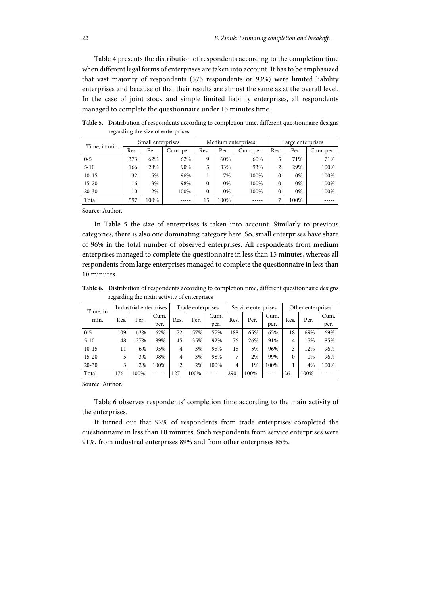Table 4 presents the distribution of respondents according to the completion time when different legal forms of enterprises are taken into account. It has to be emphasized that vast majority of respondents (575 respondents or 93%) were limited liability enterprises and because of that their results are almost the same as at the overall level. In the case of joint stock and simple limited liability enterprises, all respondents managed to complete the questionnaire under 15 minutes time.

| Time, in min. | Small enterprises |      |           |      |      | Medium enterprises | Large enterprises |      |           |
|---------------|-------------------|------|-----------|------|------|--------------------|-------------------|------|-----------|
|               | Res.              | Per. | Cum. per. | Res. | Per. | Cum. per.          | Res.              | Per. | Cum. per. |
| $0 - 5$       | 373               | 62%  | 62%       | 9    | 60%  | 60%                | 5                 | 71%  | 71%       |
| $5 - 10$      | 166               | 28%  | 90%       | 5    | 33%  | 93%                | $\overline{c}$    | 29%  | 100%      |
| $10-15$       | 32                | 5%   | 96%       |      | 7%   | 100%               | $\theta$          | 0%   | 100%      |
| $15 - 20$     | 16                | 3%   | 98%       | 0    | 0%   | 100%               | $\Omega$          | 0%   | 100%      |
| $20 - 30$     | 10                | 2%   | 100%      | 0    | 0%   | 100%               | $\theta$          | 0%   | 100%      |
| Total         | 597               | 100% |           | 15   | 100% |                    |                   | 100% |           |

**Table 5.** Distribution of respondents according to completion time, different questionnaire designs regarding the size of enterprises

Source: Author.

In Table 5 the size of enterprises is taken into account. Similarly to previous categories, there is also one dominating category here. So, small enterprises have share of 96% in the total number of observed enterprises. All respondents from medium enterprises managed to complete the questionnaire in less than 15 minutes, whereas all respondents from large enterprises managed to complete the questionnaire in less than 10 minutes.

**Table 6.** Distribution of respondents according to completion time, different questionnaire designs regarding the main activity of enterprises

| Time, in  |      | Industrial enterprises |      |      | Trade enterprises |      |      | Service enterprises |      |          | Other enterprises |      |
|-----------|------|------------------------|------|------|-------------------|------|------|---------------------|------|----------|-------------------|------|
| min.      | Res. | Per.                   | Cum. | Res. | Per.              | Cum. | Res. | Per.                | Cum. | Res.     | Per.              | Cum. |
|           |      |                        | per. |      |                   | per. |      |                     | per. |          |                   | per. |
| $0 - 5$   | 109  | 62%                    | 62%  | 72   | 57%               | 57%  | 188  | 65%                 | 65%  | 18       | 69%               | 69%  |
| $5 - 10$  | 48   | 27%                    | 89%  | 45   | 35%               | 92%  | 76   | 26%                 | 91%  | 4        | 15%               | 85%  |
| $10-15$   | 11   | 6%                     | 95%  | 4    | 3%                | 95%  | 15   | 5%                  | 96%  | 3        | 12%               | 96%  |
| $15 - 20$ | 5    | 3%                     | 98%  | 4    | 3%                | 98%  | 7    | 2%                  | 99%  | $\Omega$ | 0%                | 96%  |
| $20 - 30$ | 3    | 2%                     | 100% | 2    | 2%                | 100% | 4    | $1\%$               | 100% |          | 4%                | 100% |
| Total     | 176  | 100%                   |      | 127  | 100%              |      | 290  | 100%                |      | 26       | 100%              |      |

Source: Author.

Table 6 observes respondents' completion time according to the main activity of the enterprises.

It turned out that 92% of respondents from trade enterprises completed the questionnaire in less than 10 minutes. Such respondents from service enterprises were 91%, from industrial enterprises 89% and from other enterprises 85%.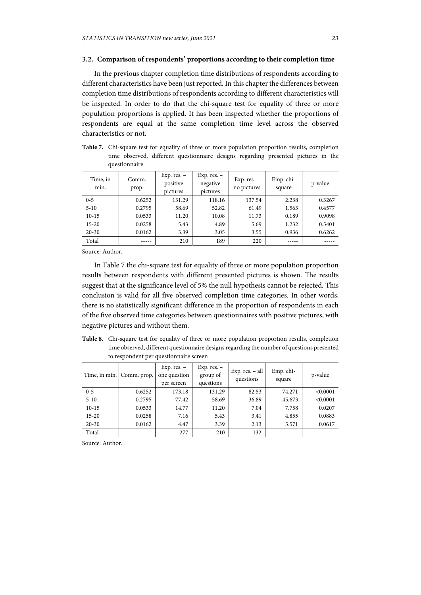## **3.2. Comparison of respondents' proportions according to their completion time**

In the previous chapter completion time distributions of respondents according to different characteristics have been just reported. In this chapter the differences between completion time distributions of respondents according to different characteristics will be inspected. In order to do that the chi-square test for equality of three or more population proportions is applied. It has been inspected whether the proportions of respondents are equal at the same completion time level across the observed characteristics or not.

**Table 7.** Chi-square test for equality of three or more population proportion results, completion time observed, different questionnaire designs regarding presented pictures in the questionnaire

| Time, in<br>min. | Comm.<br>prop. | Exp. res. $-$<br>positive<br>pictures | Exp. res. $-$<br>negative<br>pictures | Exp. res. $-$<br>no pictures | Emp. chi-<br>square | p-value |
|------------------|----------------|---------------------------------------|---------------------------------------|------------------------------|---------------------|---------|
| $0 - 5$          | 0.6252         | 131.29                                | 118.16                                | 137.54                       | 2.238               | 0.3267  |
| $5 - 10$         | 0.2795         | 58.69                                 | 52.82                                 | 61.49                        | 1.563               | 0.4577  |
| $10-15$          | 0.0533         | 11.20                                 | 10.08                                 | 11.73                        | 0.189               | 0.9098  |
| $15 - 20$        | 0.0258         | 5.43                                  | 4.89                                  | 5.69                         | 1.232               | 0.5401  |
| $20 - 30$        | 0.0162         | 3.39                                  | 3.05                                  | 3.55                         | 0.936               | 0.6262  |
| Total            | -----          | 210                                   | 189                                   | 220                          | -----               |         |

Source: Author.

In Table 7 the chi-square test for equality of three or more population proportion results between respondents with different presented pictures is shown. The results suggest that at the significance level of 5% the null hypothesis cannot be rejected. This conclusion is valid for all five observed completion time categories. In other words, there is no statistically significant difference in the proportion of respondents in each of the five observed time categories between questionnaires with positive pictures, with negative pictures and without them.

**Table 8.** Chi-square test for equality of three or more population proportion results, completion time observed, different questionnaire designs regarding the number of questions presented to respondent per questionnaire screen

|           | Time, in min. Comm. prop. | Exp. res. $-$<br>one question<br>per screen | Exp. res. $-$<br>group of<br>questions | $Exp. res. - all$<br>questions | Emp. chi-<br>square | p-value  |
|-----------|---------------------------|---------------------------------------------|----------------------------------------|--------------------------------|---------------------|----------|
| $0 - 5$   | 0.6252                    | 173.18                                      | 131.29                                 | 82.53                          | 74.271              | < 0.0001 |
| $5 - 10$  | 0.2795                    | 77.42                                       | 58.69                                  | 36.89                          | 45.673              | < 0.0001 |
| $10-15$   | 0.0533                    | 14.77                                       | 11.20                                  | 7.04                           | 7.758               | 0.0207   |
| $15 - 20$ | 0.0258                    | 7.16                                        | 5.43                                   | 3.41                           | 4.855               | 0.0883   |
| $20 - 30$ | 0.0162                    | 4.47                                        | 3.39                                   | 2.13                           | 5.571               | 0.0617   |
| Total     |                           | 277                                         | 210                                    | 132                            |                     |          |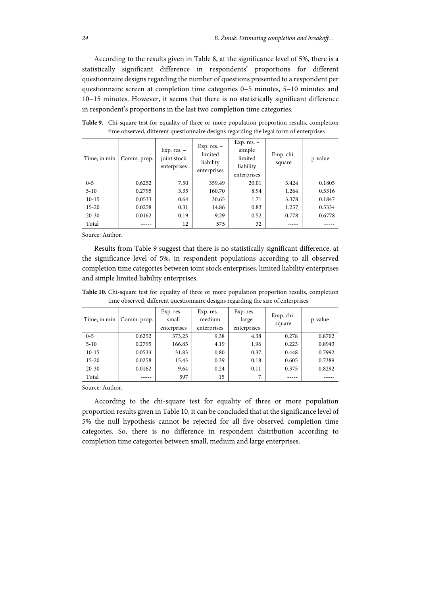According to the results given in Table 8, at the significance level of 5%, there is a statistically significant difference in respondents' proportions for different questionnaire designs regarding the number of questions presented to a respondent per questionnaire screen at completion time categories 0−5 minutes, 5−10 minutes and 10−15 minutes. However, it seems that there is no statistically significant difference in respondent's proportions in the last two completion time categories.

| Time, in min. | Comm. prop. | Exp. res. $-$<br>joint stock<br>enterprises | Exp. res. $-$<br>limited<br>liability<br>enterprises | Exp. res. $-$<br>simple<br>limited<br>liability<br>enterprises | Emp. chi-<br>square | p-value |
|---------------|-------------|---------------------------------------------|------------------------------------------------------|----------------------------------------------------------------|---------------------|---------|
| $0 - 5$       | 0.6252      | 7.50                                        | 359.49                                               | 20.01                                                          | 3.424               | 0.1805  |
| $5 - 10$      | 0.2795      | 3.35                                        | 160.70                                               | 8.94                                                           | 1.264               | 0.5316  |
| $10-15$       | 0.0533      | 0.64                                        | 30.65                                                | 1.71                                                           | 3.378               | 0.1847  |
| $15 - 20$     | 0.0258      | 0.31                                        | 14.86                                                | 0.83                                                           | 1.257               | 0.5334  |
| $20 - 30$     | 0.0162      | 0.19                                        | 9.29                                                 | 0.52                                                           | 0.778               | 0.6778  |
| Total         |             | 12                                          | 575                                                  | 32                                                             |                     |         |

**Table 9.** Chi-square test for equality of three or more population proportion results, completion time observed, different questionnaire designs regarding the legal form of enterprises

Source: Author.

Results from Table 9 suggest that there is no statistically significant difference, at the significance level of 5%, in respondent populations according to all observed completion time categories between joint stock enterprises, limited liability enterprises and simple limited liability enterprises.

**Table 10.** Chi-square test for equality of three or more population proportion results, completion time observed, different questionnaire designs regarding the size of enterprises

|           | Time, in min. Comm. prop. | Exp. res. $-$<br>small<br>enterprises | Exp. res. $-$<br>medium<br>enterprises | Exp. res. $-$<br>large<br>enterprises | Emp. chi-<br>square | p-value |
|-----------|---------------------------|---------------------------------------|----------------------------------------|---------------------------------------|---------------------|---------|
| $0 - 5$   | 0.6252                    | 373.25                                | 9.38                                   | 4.38                                  | 0.278               | 0.8702  |
| $5 - 10$  | 0.2795                    | 166.85                                | 4.19                                   | 1.96                                  | 0.223               | 0.8943  |
| $10-15$   | 0.0533                    | 31.83                                 | 0.80                                   | 0.37                                  | 0.448               | 0.7992  |
| $15 - 20$ | 0.0258                    | 15.43                                 | 0.39                                   | 0.18                                  | 0.605               | 0.7389  |
| $20 - 30$ | 0.0162                    | 9.64                                  | 0.24                                   | 0.11                                  | 0.375               | 0.8292  |
| Total     | -----                     | 597                                   | 15                                     | 7                                     | -----               |         |

Source: Author.

According to the chi-square test for equality of three or more population proportion results given in Table 10, it can be concluded that at the significance level of 5% the null hypothesis cannot be rejected for all five observed completion time categories. So, there is no difference in respondent distribution according to completion time categories between small, medium and large enterprises.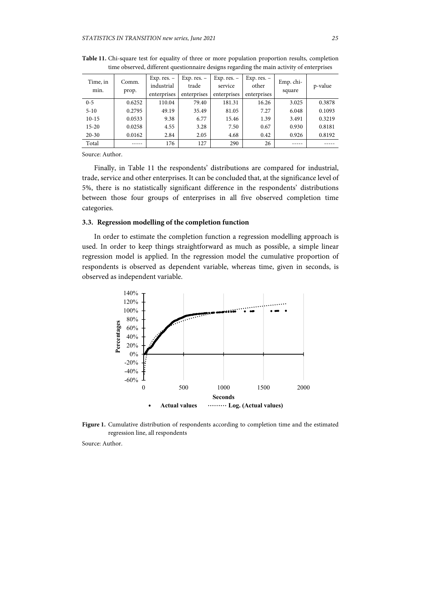| Time, in<br>min. | Comm.<br>prop. | Exp. res. $-$<br>industrial<br>enterprises | Exp. res. $-$<br>trade<br>enterprises | Exp. res. $-$<br>service<br>enterprises | Exp. res. $-$<br>other<br>enterprises | Emp. chi-<br>square | p-value |
|------------------|----------------|--------------------------------------------|---------------------------------------|-----------------------------------------|---------------------------------------|---------------------|---------|
| $0 - 5$          | 0.6252         | 110.04                                     | 79.40                                 | 181.31                                  | 16.26                                 | 3.025               | 0.3878  |
| $5 - 10$         | 0.2795         | 49.19                                      | 35.49                                 | 81.05                                   | 7.27                                  | 6.048               | 0.1093  |
| $10-15$          | 0.0533         | 9.38                                       | 6.77                                  | 15.46                                   | 1.39                                  | 3.491               | 0.3219  |
| $15 - 20$        | 0.0258         | 4.55                                       | 3.28                                  | 7.50                                    | 0.67                                  | 0.930               | 0.8181  |
| $20 - 30$        | 0.0162         | 2.84                                       | 2.05                                  | 4.68                                    | 0.42                                  | 0.926               | 0.8192  |
| Total            |                | 176                                        | 127                                   | 290                                     | 26                                    |                     |         |

**Table 11.** Chi-square test for equality of three or more population proportion results, completion time observed, different questionnaire designs regarding the main activity of enterprises

Finally, in Table 11 the respondents' distributions are compared for industrial, trade, service and other enterprises. It can be concluded that, at the significance level of 5%, there is no statistically significant difference in the respondents' distributions between those four groups of enterprises in all five observed completion time categories.

## **3.3. Regression modelling of the completion function**

In order to estimate the completion function a regression modelling approach is used. In order to keep things straightforward as much as possible, a simple linear regression model is applied. In the regression model the cumulative proportion of respondents is observed as dependent variable, whereas time, given in seconds, is observed as independent variable.



**Figure 1.** Cumulative distribution of respondents according to completion time and the estimated regression line, all respondents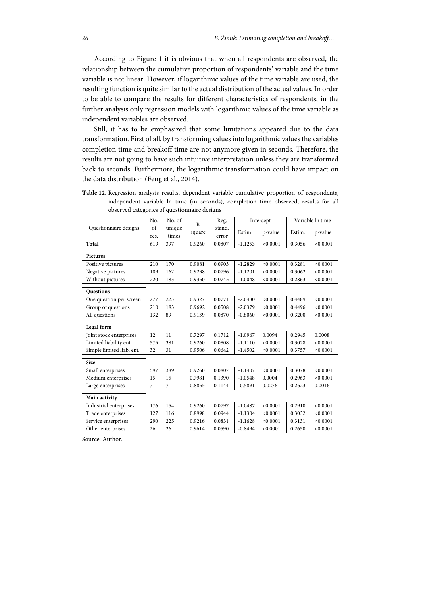According to Figure 1 it is obvious that when all respondents are observed, the relationship between the cumulative proportion of respondents' variable and the time variable is not linear. However, if logarithmic values of the time variable are used, the resulting function is quite similar to the actual distribution of the actual values. In order to be able to compare the results for different characteristics of respondents, in the further analysis only regression models with logarithmic values of the time variable as independent variables are observed.

Still, it has to be emphasized that some limitations appeared due to the data transformation. First of all, by transforming values into logarithmic values the variables completion time and breakoff time are not anymore given in seconds. Therefore, the results are not going to have such intuitive interpretation unless they are transformed back to seconds. Furthermore, the logarithmic transformation could have impact on the data distribution (Feng et al., 2014).

**Table 12.** Regression analysis results, dependent variable cumulative proportion of respondents, independent variable ln time (in seconds), completion time observed, results for all observed categories of questionnaire designs

|                           | No.        | No. of          | R      | Reg.            |           | Intercept |        | Variable In time |
|---------------------------|------------|-----------------|--------|-----------------|-----------|-----------|--------|------------------|
| Questionnaire designs     | of<br>res. | unique<br>times | square | stand.<br>error | Estim.    | p-value   | Estim. | p-value          |
| Total                     | 619        | 397             | 0.9260 | 0.0807          | $-1.1253$ | < 0.0001  | 0.3056 | < 0.0001         |
| <b>Pictures</b>           |            |                 |        |                 |           |           |        |                  |
| Positive pictures         | 210        | 170             | 0.9081 | 0.0903          | $-1.2829$ | < 0.0001  | 0.3281 | < 0.0001         |
| Negative pictures         | 189        | 162             | 0.9238 | 0.0796          | $-1.1201$ | < 0.0001  | 0.3062 | < 0.0001         |
| Without pictures          | 220        | 183             | 0.9350 | 0.0745          | $-1.0048$ | < 0.0001  | 0.2863 | < 0.0001         |
| <b>Questions</b>          |            |                 |        |                 |           |           |        |                  |
| One question per screen   | 277        | 223             | 0.9327 | 0.0771          | $-2.0480$ | < 0.0001  | 0.4489 | < 0.0001         |
| Group of questions        | 210        | 183             | 0.9692 | 0.0508          | $-2.0379$ | < 0.0001  | 0.4496 | < 0.0001         |
| All questions             | 132        | 89              | 0.9139 | 0.0870          | $-0.8060$ | < 0.0001  | 0.3200 | < 0.0001         |
| Legal form                |            |                 |        |                 |           |           |        |                  |
| Joint stock enterprises   | 12         | 11              | 0.7297 | 0.1712          | $-1.0967$ | 0.0094    | 0.2945 | 0.0008           |
| Limited liability ent.    | 575        | 381             | 0.9260 | 0.0808          | $-1.1110$ | < 0.0001  | 0.3028 | < 0.0001         |
| Simple limited liab. ent. | 32         | 31              | 0.9506 | 0.0642          | $-1.4502$ | < 0.0001  | 0.3757 | < 0.0001         |
| <b>Size</b>               |            |                 |        |                 |           |           |        |                  |
| Small enterprises         | 597        | 389             | 0.9260 | 0.0807          | $-1.1407$ | < 0.0001  | 0.3078 | < 0.0001         |
| Medium enterprises        | 15         | 15              | 0.7981 | 0.1390          | $-1.0548$ | 0.0004    | 0.2963 | < 0.0001         |
| Large enterprises         | 7          | 7               | 0.8855 | 0.1144          | $-0.5891$ | 0.0276    | 0.2623 | 0.0016           |
| Main activity             |            |                 |        |                 |           |           |        |                  |
| Industrial enterprises    | 176        | 154             | 0.9260 | 0.0797          | $-1.0487$ | < 0.0001  | 0.2910 | < 0.0001         |
| Trade enterprises         | 127        | 116             | 0.8998 | 0.0944          | $-1.1304$ | < 0.0001  | 0.3032 | < 0.0001         |
| Service enterprises       | 290        | 225             | 0.9216 | 0.0831          | $-1.1628$ | < 0.0001  | 0.3131 | < 0.0001         |
| Other enterprises         | 26         | 26              | 0.9614 | 0.0590          | $-0.8494$ | < 0.0001  | 0.2650 | < 0.0001         |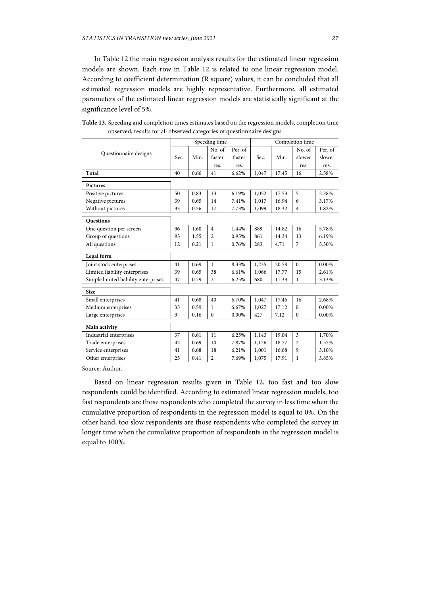In Table 12 the main regression analysis results for the estimated linear regression models are shown. Each row in Table 12 is related to one linear regression model. According to coefficient determination (R square) values, it can be concluded that all estimated regression models are highly representative. Furthermore, all estimated parameters of the estimated linear regression models are statistically significant at the significance level of 5%.

|                                      |      |      | Speeding time  |         | Completion time |       |                |         |
|--------------------------------------|------|------|----------------|---------|-----------------|-------|----------------|---------|
|                                      |      |      | No. of         | Per. of |                 |       | No. of         | Per. of |
| Questionnaire designs                | Sec. | Min. | faster         | faster  | Sec.            | Min.  | slower         | slower  |
|                                      |      |      | res.           | res.    |                 |       | res.           | res.    |
| Total                                | 40   | 0.66 | 41             | 6.62%   | 1,047           | 17.45 | 16             | 2.58%   |
| <b>Pictures</b>                      |      |      |                |         |                 |       |                |         |
| Positive pictures                    | 50   | 0.83 | 13             | 6.19%   | 1,052           | 17.53 | 5              | 2.38%   |
| Negative pictures                    | 39   | 0.65 | 14             | 7.41%   | 1,017           | 16.94 | 6              | 3.17%   |
| Without pictures                     | 33   | 0.56 | 17             | 7.73%   | 1,099           | 18.32 | $\overline{4}$ | 1.82%   |
| <b>Questions</b>                     |      |      |                |         |                 |       |                |         |
| One question per screen              | 96   | 1.60 | $\overline{4}$ | 1.44%   | 889             | 14.82 | 16             | 5.78%   |
| Group of questions                   | 93   | 1.55 | 2              | 0.95%   | 861             | 14.34 | 13             | 6.19%   |
| All questions                        | 12   | 0.21 | 1              | 0.76%   | 283             | 4.71  | 7              | 5.30%   |
| Legal form                           |      |      |                |         |                 |       |                |         |
| Joint stock enterprises              | 41   | 0.69 | $\mathbf{1}$   | 8.33%   | 1,235           | 20.58 | $\Omega$       | 0.00%   |
| Limited liability enterprises        | 39   | 0.65 | 38             | 6.61%   | 1,066           | 17.77 | 15             | 2.61%   |
|                                      |      |      |                |         |                 |       |                |         |
| Simple limited liability enterprises | 47   | 0.79 | $\overline{c}$ | 6.25%   | 680             | 11.33 | 1              | 3.13%   |
| <b>Size</b>                          |      |      |                |         |                 |       |                |         |
| Small enterprises                    | 41   | 0.68 | 40             | 6.70%   | 1,047           | 17.46 | 16             | 2.68%   |
| Medium enterprises                   | 35   | 0.59 | 1              | 6.67%   | 1,027           | 17.12 | $\mathbf{0}$   | 0.00%   |
| Large enterprises                    | 9    | 0.16 | $\mathbf{0}$   | 0.00%   | 427             | 7.12  | $\mathbf{0}$   | 0.00%   |
| Main activity                        |      |      |                |         |                 |       |                |         |
| Industrial enterprises               | 37   | 0.61 | 11             | 6.25%   | 1,143           | 19.04 | 3              | 1.70%   |
| Trade enterprises                    | 42   | 0.69 | 10             | 7.87%   | 1,126           | 18.77 | $\overline{2}$ | 1.57%   |
| Service enterprises                  | 41   | 0.68 | 18             | 6.21%   | 1,001           | 16.68 | 9              | 3.10%   |

**Table 13.** Speeding and completion times estimates based on the regression models, completion time observed, results for all observed categories of questionnaire designs

Source: Author.

Based on linear regression results given in Table 12, too fast and too slow respondents could be identified. According to estimated linear regression models, too fast respondents are those respondents who completed the survey in less time when the cumulative proportion of respondents in the regression model is equal to 0%. On the other hand, too slow respondents are those respondents who completed the survey in longer time when the cumulative proportion of respondents in the regression model is equal to 100%.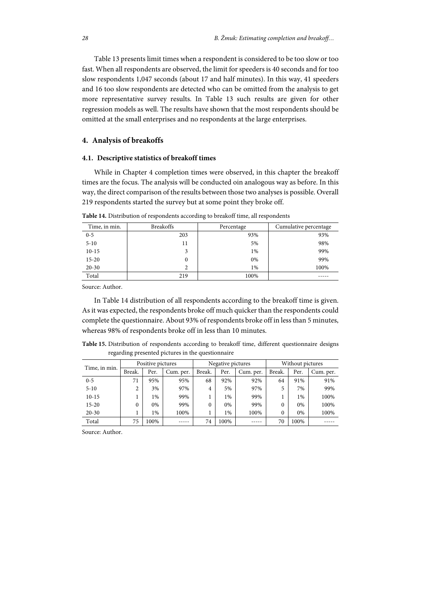Table 13 presents limit times when a respondent is considered to be too slow or too fast. When all respondents are observed, the limit for speeders is 40 seconds and for too slow respondents 1,047 seconds (about 17 and half minutes). In this way, 41 speeders and 16 too slow respondents are detected who can be omitted from the analysis to get more representative survey results. In Table 13 such results are given for other regression models as well. The results have shown that the most respondents should be omitted at the small enterprises and no respondents at the large enterprises.

#### **4. Analysis of breakoffs**

#### **4.1. Descriptive statistics of breakoff times**

While in Chapter 4 completion times were observed, in this chapter the breakoff times are the focus. The analysis will be conducted oin analogous way as before. In this way, the direct comparison of the results between those two analyses is possible. Overall 219 respondents started the survey but at some point they broke off.

| Time, in min. | <b>Breakoffs</b> | Percentage | Cumulative percentage |
|---------------|------------------|------------|-----------------------|
| $0 - 5$       | 203              | 93%        | 93%                   |
| $5 - 10$      | 11               | 5%         | 98%                   |
| $10-15$       | 3                | $1\%$      | 99%                   |
| $15 - 20$     | 0                | 0%         | 99%                   |
| $20 - 30$     | ∍                | $1\%$      | 100%                  |
| Total         | 219              | 100%       |                       |

**Table 14.** Distribution of respondents according to breakoff time, all respondents

Source: Author.

In Table 14 distribution of all respondents according to the breakoff time is given. As it was expected, the respondents broke off much quicker than the respondents could complete the questionnaire. About 93% of respondents broke off in less than 5 minutes, whereas 98% of respondents broke off in less than 10 minutes.

**Table 15.** Distribution of respondents according to breakoff time, different questionnaire designs regarding presented pictures in the questionnaire

| Time, in min. |          | Positive pictures |           |          | Negative pictures |           | Without pictures |      |           |
|---------------|----------|-------------------|-----------|----------|-------------------|-----------|------------------|------|-----------|
|               | Break.   | Per.              | Cum. per. | Break.   | Per.              | Cum. per. | Break.           | Per. | Cum. per. |
| $0 - 5$       | 71       | 95%               | 95%       | 68       | 92%               | 92%       | 64               | 91%  | 91%       |
| $5 - 10$      | ∍<br>∠   | 3%                | 97%       | 4        | 5%                | 97%       |                  | 7%   | 99%       |
| $10-15$       |          | 1%                | 99%       |          | 1%                | 99%       |                  | 1%   | 100%      |
| $15-20$       | $\theta$ | 0%                | 99%       | $\theta$ | 0%                | 99%       | 0                | 0%   | 100%      |
| $20 - 30$     |          | 1%                | 100%      |          | 1%                | 100%      | 0                | 0%   | 100%      |
| Total         | 75       | 100%              |           | 74       | 100%              |           | 70               | 100% |           |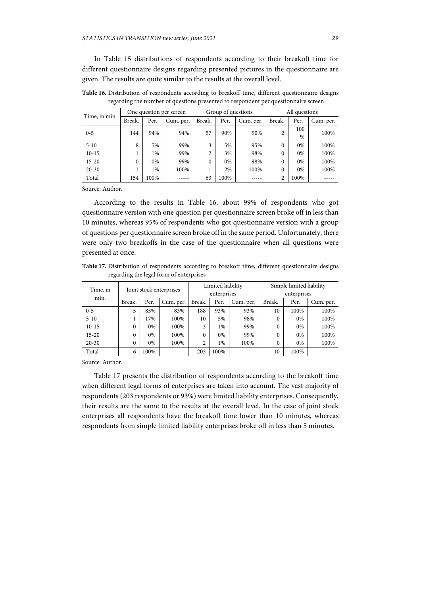In Table 15 distributions of respondents according to their breakoff time for different questionnaire designs regarding presented pictures in the questionnaire are given. The results are quite similar to the results at the overall level.

| Time, in min. |          |      | One question per screen |        | Group of questions |           | All questions |      |           |
|---------------|----------|------|-------------------------|--------|--------------------|-----------|---------------|------|-----------|
|               | Break.   | Per. | Cum. per.               | Break. | Per.               | Cum. per. | Break.        | Per. | Cum. per. |
| $0 - 5$       | 144      | 94%  | 94%                     | 57     | 90%                | 90%       | 2             | 100  | 100%      |
|               |          |      |                         |        |                    |           |               | %    |           |
| $5 - 10$      | 8        | 5%   | 99%                     | 3      | 5%                 | 95%       | 0             | 0%   | 100%      |
| $10-15$       |          | 1%   | 99%                     | 2      | 3%                 | 98%       | 0             | 0%   | 100%      |
| $15 - 20$     | $\Omega$ | 0%   | 99%                     | 0      | 0%                 | 98%       | $\Omega$      | 0%   | 100%      |
| $20 - 30$     |          | 1%   | 100%                    |        | 2%                 | 100%      | $\Omega$      | 0%   | 100%      |
| Total         | 154      | 100% |                         | 63     | 100%               |           | ↑             | 100% |           |

**Table 16.** Distribution of respondents according to breakoff time, different questionnaire designs regarding the number of questions presented to respondent per questionnaire screen

Source: Author.

According to the results in Table 16, about 99% of respondents who got questionnaire version with one question per questionnaire screen broke off in less than 10 minutes, whereas 95% of respondents who got questionnaire version with a group of questions per questionnaire screen broke off in the same period. Unfortunately, there were only two breakoffs in the case of the questionnaire when all questions were presented at once.

**Table 17.** Distribution of respondents according to breakoff time, different questionnaire designs regarding the legal form of enterprises

| Time, in  |          |       | Joint stock enterprises |                | Limited liability |           | Simple limited liability |      |           |
|-----------|----------|-------|-------------------------|----------------|-------------------|-----------|--------------------------|------|-----------|
|           |          |       |                         | enterprises    |                   |           | enterprises              |      |           |
| min.      | Break.   | Per.  | Cum. per.               | Break.         | Per.              | Cum. per. | Break.                   | Per. | Cum. per. |
| $0 - 5$   | 5        | 83%   | 83%                     | 188            | 93%               | 93%       | 10                       | 100% | 100%      |
| $5 - 10$  |          | 17%   | 100%                    | 10             | 5%                | 98%       | 0                        | 0%   | 100%      |
| $10-15$   | $\Omega$ | 0%    | 100%                    | 3              | $1\%$             | 99%       | $\Omega$                 | 0%   | 100%      |
| $15-20$   | $\Omega$ | $0\%$ | 100%                    |                | $0\%$             | 99%       | $\Omega$                 | 0%   | 100%      |
| $20 - 30$ | $\Omega$ | 0%    | 100%                    | $\overline{c}$ | $1\%$             | 100%      | $\Omega$                 | 0%   | 100%      |
| Total     | 6        | 100%  | $- - - -$               | 203            | 100%              |           | 10                       | 100% |           |

Source: Author.

Table 17 presents the distribution of respondents according to the breakoff time when different legal forms of enterprises are taken into account. The vast majority of respondents (203 respondents or 93%) were limited liability enterprises. Consequently, their results are the same to the results at the overall level. In the case of joint stock enterprises all respondents have the breakoff time lower than 10 minutes, whereas respondents from simple limited liability enterprises broke off in less than 5 minutes.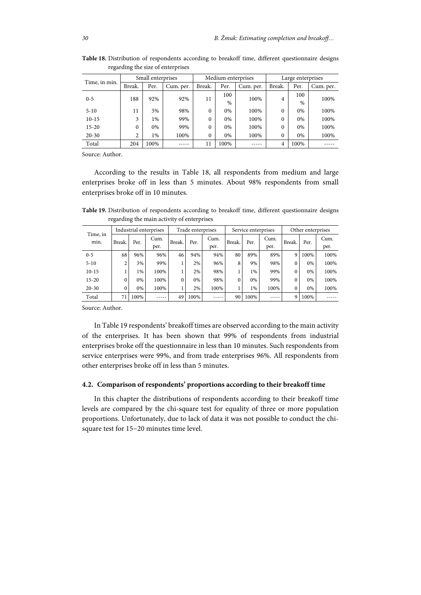|               |                | Small enterprises |           |          | Medium enterprises |           | Large enterprises |               |           |
|---------------|----------------|-------------------|-----------|----------|--------------------|-----------|-------------------|---------------|-----------|
| Time, in min. | Break.         | Per.              | Cum. per. | Break.   | Per.               | Cum. per. | Break.            | Per.          | Cum. per. |
|               | 188            | 92%               | 92%       |          | 100                | 100%      |                   | 100           | 100%      |
| $0 - 5$       |                |                   |           | 11       | $\%$               |           | 4                 | $\frac{0}{0}$ |           |
| $5 - 10$      | 11             | 5%                | 98%       | $\theta$ | 0%                 | 100%      | $\Omega$          | 0%            | 100%      |
| $10-15$       | 3              | $1\%$             | 99%       | $\theta$ | 0%                 | 100%      | $\Omega$          | 0%            | 100%      |
| $15 - 20$     | $\theta$       | 0%                | 99%       | $\theta$ | 0%                 | 100%      | $\Omega$          | 0%            | 100%      |
| $20 - 30$     | $\overline{2}$ | 1%                | 100%      | $\theta$ | 0%                 | 100%      | $\theta$          | 0%            | 100%      |
| Total         | 204            | 100%              |           | 11       | 100%               |           | 4                 | 100%          |           |

**Table 18.** Distribution of respondents according to breakoff time, different questionnaire designs regarding the size of enterprises

According to the results in Table 18, all respondents from medium and large enterprises broke off in less than 5 minutes. About 98% respondents from small enterprises broke off in 10 minutes.

**Table 19.** Distribution of respondents according to breakoff time, different questionnaire designs regarding the main activity of enterprises

| Time, in  |          |      | Industrial enterprises |          | Trade enterprises |      |        |      | Service enterprises | Other enterprises |      |      |
|-----------|----------|------|------------------------|----------|-------------------|------|--------|------|---------------------|-------------------|------|------|
| min.      | Break.   | Per. | Cum.                   | Break.   | Per.              | Cum. | Break. | Per. | Cum.                | Break.            | Per. | Cum. |
|           |          |      | per.                   |          |                   | per. |        |      | per.                |                   |      | per. |
| $0 - 5$   | 68       | 96%  | 96%                    | 46       | 94%               | 94%  | 80     | 89%  | 89%                 | 9                 | 100% | 100% |
| $5 - 10$  |          | 3%   | 99%                    |          | 2%                | 96%  | 8      | 9%   | 98%                 | $\Omega$          | 0%   | 100% |
| $10-15$   |          | 1%   | 100%                   |          | 2%                | 98%  |        | 1%   | 99%                 | $\theta$          | 0%   | 100% |
| $15 - 20$ | 0        | 0%   | 100%                   | $\Omega$ | 0%                | 98%  | 0      | 0%   | 99%                 | $\theta$          | 0%   | 100% |
| $20 - 30$ | $\Omega$ | 0%   | 100%                   |          | 2%                | 100% |        | 1%   | 100%                | $\theta$          | 0%   | 100% |
| Total     | 71       | 100% |                        | 49       | 100%              |      | 90     | 100% |                     | 9                 | 100% |      |

Source: Author.

In Table 19 respondents' breakoff times are observed according to the main activity of the enterprises. It has been shown that 99% of respondents from industrial enterprises broke off the questionnaire in less than 10 minutes. Such respondents from service enterprises were 99%, and from trade enterprises 96%. All respondents from other enterprises broke off in less than 5 minutes.

#### **4.2. Comparison of respondents' proportions according to their breakoff time**

In this chapter the distributions of respondents according to their breakoff time levels are compared by the chi-square test for equality of three or more population proportions. Unfortunately, due to lack of data it was not possible to conduct the chisquare test for 15−20 minutes time level.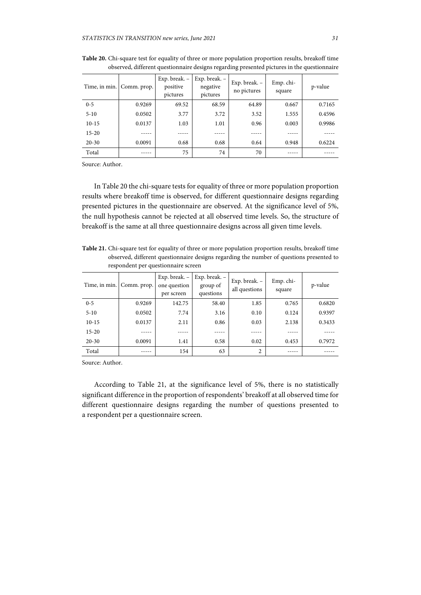| Time, in min. | Comm. prop. | Exp. break. -<br>positive<br>pictures | Exp. break. $-$<br>negative<br>pictures | Exp. break. -<br>no pictures | Emp. chi-<br>square | p-value |
|---------------|-------------|---------------------------------------|-----------------------------------------|------------------------------|---------------------|---------|
| $0 - 5$       | 0.9269      | 69.52                                 | 68.59                                   | 64.89                        | 0.667               | 0.7165  |
| $5 - 10$      | 0.0502      | 3.77                                  | 3.72                                    | 3.52                         | 1.555               | 0.4596  |
| $10-15$       | 0.0137      | 1.03                                  | 1.01                                    | 0.96                         | 0.003               | 0.9986  |
| $15 - 20$     |             |                                       |                                         |                              |                     |         |
| $20 - 30$     | 0.0091      | 0.68                                  | 0.68                                    | 0.64                         | 0.948               | 0.6224  |
| Total         |             | 75                                    | 74                                      | 70                           |                     |         |

**Table 20.** Chi-square test for equality of three or more population proportion results, breakoff time observed, different questionnaire designs regarding presented pictures in the questionnaire

In Table 20 the chi-square tests for equality of three or more population proportion results where breakoff time is observed, for different questionnaire designs regarding presented pictures in the questionnaire are observed. At the significance level of 5%, the null hypothesis cannot be rejected at all observed time levels. So, the structure of breakoff is the same at all three questionnaire designs across all given time levels.

**Table 21.** Chi-square test for equality of three or more population proportion results, breakoff time observed, different questionnaire designs regarding the number of questions presented to respondent per questionnaire screen

| Time, in min. | Comm. prop. | Exp. break. -<br>one question<br>per screen | Exp. break. -<br>group of<br>questions | Exp. break. -<br>all questions | Emp. chi-<br>square | p-value |
|---------------|-------------|---------------------------------------------|----------------------------------------|--------------------------------|---------------------|---------|
| $0 - 5$       | 0.9269      | 142.75                                      | 58.40                                  | 1.85                           | 0.765               | 0.6820  |
| $5 - 10$      | 0.0502      | 7.74                                        | 3.16                                   | 0.10                           | 0.124               | 0.9397  |
| $10-15$       | 0.0137      | 2.11                                        | 0.86                                   | 0.03                           | 2.138               | 0.3433  |
| $15 - 20$     |             |                                             |                                        |                                |                     |         |
| $20 - 30$     | 0.0091      | 1.41                                        | 0.58                                   | 0.02                           | 0.453               | 0.7972  |
| Total         |             | 154                                         | 63                                     | $\overline{2}$                 |                     |         |

Source: Author.

According to Table 21, at the significance level of 5%, there is no statistically significant difference in the proportion of respondents' breakoff at all observed time for different questionnaire designs regarding the number of questions presented to a respondent per a questionnaire screen.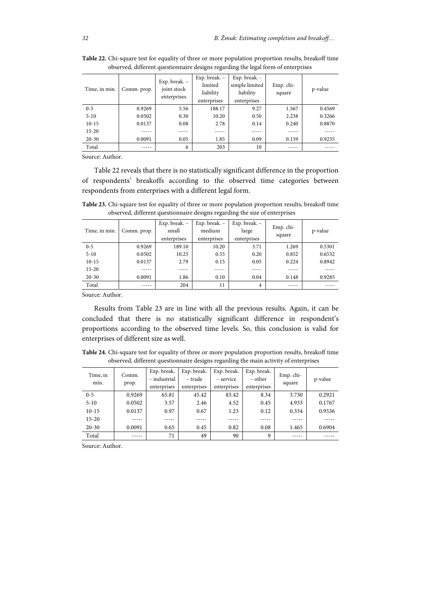| Time, in min. | Comm. prop. | Exp. break. $-$<br>joint stock<br>enterprises | Exp. break. $-$<br>limited<br>liability<br>enterprises | Exp. break. -<br>simple limited<br>liability<br>enterprises | Emp. chi-<br>square | p-value |
|---------------|-------------|-----------------------------------------------|--------------------------------------------------------|-------------------------------------------------------------|---------------------|---------|
| $0 - 5$       | 0.9269      | 5.56                                          | 188.17                                                 | 9.27                                                        | 1.567               | 0.4569  |
| $5 - 10$      | 0.0502      | 0.30                                          | 10.20                                                  | 0.50                                                        | 2.238               | 0.3266  |
| $10-15$       | 0.0137      | 0.08                                          | 2.78                                                   | 0.14                                                        | 0.240               | 0.8870  |
| $15 - 20$     |             | ----                                          |                                                        |                                                             |                     |         |
| $20 - 30$     | 0.0091      | 0.05                                          | 1.85                                                   | 0.09                                                        | 0.159               | 0.9235  |
| Total         |             | 6                                             | 203                                                    | 10                                                          |                     |         |

**Table 22.** Chi-square test for equality of three or more population proportion results, breakoff time observed, different questionnaire designs regarding the legal form of enterprises

Table 22 reveals that there is no statistically significant difference in the proportion of respondents' breakoffs according to the observed time categories between respondents from enterprises with a different legal form.

**Table 23.** Chi-square test for equality of three or more population proportion results, breakoff time observed, different questionnaire designs regarding the size of enterprises

| Time, in min. | Comm. prop. | Exp. break. -<br>small<br>enterprises | Exp. break. $-$<br>medium<br>enterprises | Exp. break. -<br>large<br>enterprises | Emp. chi-<br>square | p-value |
|---------------|-------------|---------------------------------------|------------------------------------------|---------------------------------------|---------------------|---------|
| $0 - 5$       | 0.9269      | 189.10                                | 10.20                                    | 3.71                                  | 1.269               | 0.5301  |
| $5 - 10$      | 0.0502      | 10.25                                 | 0.55                                     | 0.20                                  | 0.852               | 0.6532  |
| $10-15$       | 0.0137      | 2.79                                  | 0.15                                     | 0.05                                  | 0.224               | 0.8942  |
| $15 - 20$     |             |                                       |                                          |                                       |                     |         |
| $20 - 30$     | 0.0091      | 1.86                                  | 0.10                                     | 0.04                                  | 0.148               | 0.9285  |
| Total         |             | 204                                   | 11                                       | $\overline{4}$                        |                     |         |

Source: Author.

Results from Table 23 are in line with all the previous results. Again, it can be concluded that there is no statistically significant difference in respondent's proportions according to the observed time levels. So, this conclusion is valid for enterprises of different size as well.

**Table 24.** Chi-square test for equality of three or more population proportion results, breakoff time observed, different questionnaire designs regarding the main activity of enterprises

| Time, in<br>min. | Comm.<br>prop. | Exp. break.<br>- industrial<br>enterprises | Exp. break.<br>– trade<br>enterprises | Exp. break.<br>– service<br>enterprises | Exp. break.<br>– other<br>enterprises | Emp. chi-<br>square | p-value |
|------------------|----------------|--------------------------------------------|---------------------------------------|-----------------------------------------|---------------------------------------|---------------------|---------|
| $0 - 5$          | 0.9269         | 65.81                                      | 45.42                                 | 83.42                                   | 8.34                                  | 3.730               | 0.2921  |
| $5 - 10$         | 0.0502         | 3.57                                       | 2.46                                  | 4.52                                    | 0.45                                  | 4.933               | 0.1767  |
| $10-15$          | 0.0137         | 0.97                                       | 0.67                                  | 1.23                                    | 0.12                                  | 0.334               | 0.9536  |
| $15 - 20$        |                |                                            |                                       |                                         |                                       |                     |         |
| $20 - 30$        | 0.0091         | 0.65                                       | 0.45                                  | 0.82                                    | 0.08                                  | 1.465               | 0.6904  |
| Total            | .              | 71                                         | 49                                    | 90                                      | 9                                     |                     |         |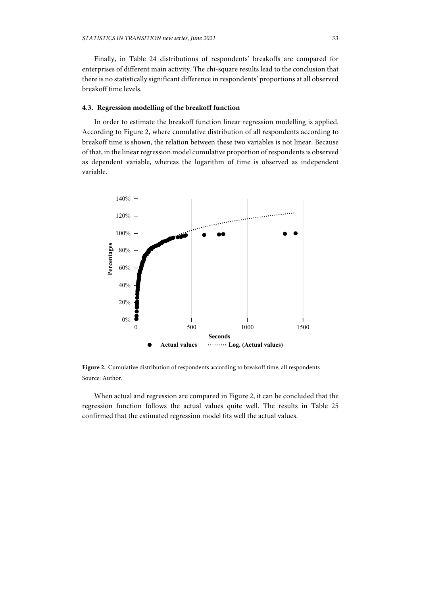Finally, in Table 24 distributions of respondents' breakoffs are compared for enterprises of different main activity. The chi-square results lead to the conclusion that there is no statistically significant difference in respondents' proportions at all observed breakoff time levels.

## **4.3. Regression modelling of the breakoff function**

In order to estimate the breakoff function linear regression modelling is applied. According to Figure 2, where cumulative distribution of all respondents according to breakoff time is shown, the relation between these two variables is not linear. Because of that, in the linear regression model cumulative proportion of respondents is observed as dependent variable, whereas the logarithm of time is observed as independent variable.



Figure 2. Cumulative distribution of respondents according to breakoff time, all respondents Source: Author.

When actual and regression are compared in Figure 2, it can be concluded that the regression function follows the actual values quite well. The results in Table 25 confirmed that the estimated regression model fits well the actual values.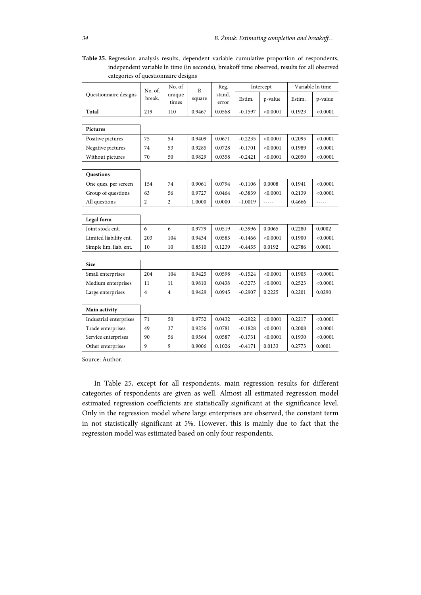**Table 25.** Regression analysis results, dependent variable cumulative proportion of respondents, independent variable ln time (in seconds), breakoff time observed, results for all observed categories of questionnaire designs

| Questionnaire designs<br>unique<br>stand.<br>break.<br>square<br>Estim.<br>p-value<br>Estim.<br>p-value<br>times<br>error<br>219<br>Total<br>110<br>0.9467<br>$-0.1597$<br>< 0.0001<br>0.1923<br>< 0.0001<br>0.0568<br><b>Pictures</b><br>0.9409<br>0.0671<br>< 0.0001<br>< 0.0001<br>75<br>54<br>$-0.2235$<br>0.2095<br>Positive pictures<br>Negative pictures<br>74<br>53<br>0.9285<br>0.0728<br>$-0.1701$<br>< 0.0001<br>0.1989<br>< 0.0001<br>Without pictures<br>0.9829<br>0.0358<br>$-0.2421$<br>< 0.0001<br>< 0.0001<br>70<br>50<br>0.2050<br><b>Questions</b><br>154<br>0.9061<br>0.0794<br>0.0008<br>< 0.0001<br>74<br>$-0.1106$<br>0.1941<br>One ques. per screen<br>Group of questions<br>63<br>0.9727<br>0.0464<br>$-0.3839$<br>< 0.0001<br>0.2139<br>< 0.0001<br>56<br>All questions<br>$\overline{2}$<br>$\overline{2}$<br>1.0000<br>0.0000<br>$-1.0019$<br>0.4666<br>-----<br>-----<br>Legal form |  | No. of. | No. of | $\mathbb{R}$ | Reg. | Intercept | Variable ln time |  |
|------------------------------------------------------------------------------------------------------------------------------------------------------------------------------------------------------------------------------------------------------------------------------------------------------------------------------------------------------------------------------------------------------------------------------------------------------------------------------------------------------------------------------------------------------------------------------------------------------------------------------------------------------------------------------------------------------------------------------------------------------------------------------------------------------------------------------------------------------------------------------------------------------------------|--|---------|--------|--------------|------|-----------|------------------|--|
|                                                                                                                                                                                                                                                                                                                                                                                                                                                                                                                                                                                                                                                                                                                                                                                                                                                                                                                  |  |         |        |              |      |           |                  |  |
|                                                                                                                                                                                                                                                                                                                                                                                                                                                                                                                                                                                                                                                                                                                                                                                                                                                                                                                  |  |         |        |              |      |           |                  |  |
|                                                                                                                                                                                                                                                                                                                                                                                                                                                                                                                                                                                                                                                                                                                                                                                                                                                                                                                  |  |         |        |              |      |           |                  |  |
|                                                                                                                                                                                                                                                                                                                                                                                                                                                                                                                                                                                                                                                                                                                                                                                                                                                                                                                  |  |         |        |              |      |           |                  |  |
|                                                                                                                                                                                                                                                                                                                                                                                                                                                                                                                                                                                                                                                                                                                                                                                                                                                                                                                  |  |         |        |              |      |           |                  |  |
|                                                                                                                                                                                                                                                                                                                                                                                                                                                                                                                                                                                                                                                                                                                                                                                                                                                                                                                  |  |         |        |              |      |           |                  |  |
|                                                                                                                                                                                                                                                                                                                                                                                                                                                                                                                                                                                                                                                                                                                                                                                                                                                                                                                  |  |         |        |              |      |           |                  |  |
|                                                                                                                                                                                                                                                                                                                                                                                                                                                                                                                                                                                                                                                                                                                                                                                                                                                                                                                  |  |         |        |              |      |           |                  |  |
|                                                                                                                                                                                                                                                                                                                                                                                                                                                                                                                                                                                                                                                                                                                                                                                                                                                                                                                  |  |         |        |              |      |           |                  |  |
|                                                                                                                                                                                                                                                                                                                                                                                                                                                                                                                                                                                                                                                                                                                                                                                                                                                                                                                  |  |         |        |              |      |           |                  |  |
|                                                                                                                                                                                                                                                                                                                                                                                                                                                                                                                                                                                                                                                                                                                                                                                                                                                                                                                  |  |         |        |              |      |           |                  |  |
|                                                                                                                                                                                                                                                                                                                                                                                                                                                                                                                                                                                                                                                                                                                                                                                                                                                                                                                  |  |         |        |              |      |           |                  |  |
|                                                                                                                                                                                                                                                                                                                                                                                                                                                                                                                                                                                                                                                                                                                                                                                                                                                                                                                  |  |         |        |              |      |           |                  |  |
|                                                                                                                                                                                                                                                                                                                                                                                                                                                                                                                                                                                                                                                                                                                                                                                                                                                                                                                  |  |         |        |              |      |           |                  |  |
| Joint stock ent.<br>6<br>6<br>0.9779<br>0.0519<br>$-0.3996$<br>0.0065<br>0.0002<br>0.2280                                                                                                                                                                                                                                                                                                                                                                                                                                                                                                                                                                                                                                                                                                                                                                                                                        |  |         |        |              |      |           |                  |  |
| Limited liability ent.<br>203<br>104<br>0.9434<br>0.0585<br>< 0.0001<br>0.1900<br>< 0.0001<br>$-0.1466$                                                                                                                                                                                                                                                                                                                                                                                                                                                                                                                                                                                                                                                                                                                                                                                                          |  |         |        |              |      |           |                  |  |
| Simple lim. liab. ent.<br>10<br>0.8510<br>0.1239<br>$-0.4455$<br>0.0192<br>0.2786<br>0.0001<br>10                                                                                                                                                                                                                                                                                                                                                                                                                                                                                                                                                                                                                                                                                                                                                                                                                |  |         |        |              |      |           |                  |  |
|                                                                                                                                                                                                                                                                                                                                                                                                                                                                                                                                                                                                                                                                                                                                                                                                                                                                                                                  |  |         |        |              |      |           |                  |  |
| <b>Size</b>                                                                                                                                                                                                                                                                                                                                                                                                                                                                                                                                                                                                                                                                                                                                                                                                                                                                                                      |  |         |        |              |      |           |                  |  |
| 204<br>104<br>0.9425<br>0.0598<br>$-0.1524$<br>< 0.0001<br>0.1905<br>< 0.0001<br>Small enterprises                                                                                                                                                                                                                                                                                                                                                                                                                                                                                                                                                                                                                                                                                                                                                                                                               |  |         |        |              |      |           |                  |  |
| Medium enterprises<br>0.9810<br>0.0438<br>$-0.3273$<br>< 0.0001<br>0.2523<br>< 0.0001<br>11<br>11                                                                                                                                                                                                                                                                                                                                                                                                                                                                                                                                                                                                                                                                                                                                                                                                                |  |         |        |              |      |           |                  |  |
| Large enterprises<br>0.9429<br>0.0945<br>$-0.2907$<br>0.0290<br>$\overline{4}$<br>$\overline{4}$<br>0.2225<br>0.2201                                                                                                                                                                                                                                                                                                                                                                                                                                                                                                                                                                                                                                                                                                                                                                                             |  |         |        |              |      |           |                  |  |
|                                                                                                                                                                                                                                                                                                                                                                                                                                                                                                                                                                                                                                                                                                                                                                                                                                                                                                                  |  |         |        |              |      |           |                  |  |
| Main activity                                                                                                                                                                                                                                                                                                                                                                                                                                                                                                                                                                                                                                                                                                                                                                                                                                                                                                    |  |         |        |              |      |           |                  |  |
| < 0.0001<br>< 0.0001<br>Industrial enterprises<br>71<br>50<br>0.9752<br>0.0432<br>$-0.2922$<br>0.2217                                                                                                                                                                                                                                                                                                                                                                                                                                                                                                                                                                                                                                                                                                                                                                                                            |  |         |        |              |      |           |                  |  |
| Trade enterprises<br>49<br>0.9256<br>0.0781<br>< 0.0001<br>37<br>$-0.1828$<br>0.2008<br>< 0.0001                                                                                                                                                                                                                                                                                                                                                                                                                                                                                                                                                                                                                                                                                                                                                                                                                 |  |         |        |              |      |           |                  |  |
| Service enterprises<br>90<br>0.9564<br>0.0587<br>< 0.0001<br>< 0.0001<br>56<br>$-0.1731$<br>0.1930                                                                                                                                                                                                                                                                                                                                                                                                                                                                                                                                                                                                                                                                                                                                                                                                               |  |         |        |              |      |           |                  |  |
| Other enterprises<br>9<br>9<br>0.9006<br>0.1026<br>$-0.4171$<br>0.0133<br>0.2773<br>0.0001                                                                                                                                                                                                                                                                                                                                                                                                                                                                                                                                                                                                                                                                                                                                                                                                                       |  |         |        |              |      |           |                  |  |

In Table 25, except for all respondents, main regression results for different categories of respondents are given as well. Almost all estimated regression model estimated regression coefficients are statistically significant at the significance level. Only in the regression model where large enterprises are observed, the constant term in not statistically significant at 5%. However, this is mainly due to fact that the regression model was estimated based on only four respondents.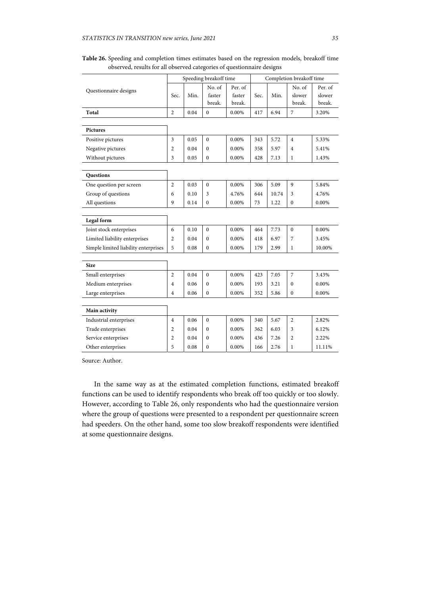|                                      | Speeding breakoff time |      |                  | Completion breakoff time |      |       |                  |         |
|--------------------------------------|------------------------|------|------------------|--------------------------|------|-------|------------------|---------|
| Questionnaire designs                |                        |      | No. of           | Per. of                  |      |       | No. of           | Per. of |
|                                      | Sec.                   | Min. | faster           | faster                   | Sec. | Min.  | slower           | slower  |
|                                      |                        |      | break.           | break.                   |      |       | break.           | break.  |
| Total                                | $\overline{2}$         | 0.04 | $\mathbf{0}$     | 0.00%                    | 417  | 6.94  | 7                | 3.20%   |
|                                      |                        |      |                  |                          |      |       |                  |         |
| Pictures                             |                        |      |                  |                          |      |       |                  |         |
| Positive pictures                    | 3                      | 0.05 | $\mathbf{0}$     | 0.00%                    | 343  | 5.72  | 4                | 5.33%   |
| Negative pictures                    | 2                      | 0.04 | $\mathbf{0}$     | 0.00%                    | 358  | 5.97  | 4                | 5.41%   |
| Without pictures                     | 3                      | 0.05 | $\boldsymbol{0}$ | 0.00%                    | 428  | 7.13  | 1                | 1.43%   |
|                                      |                        |      |                  |                          |      |       |                  |         |
| Questions                            |                        |      |                  |                          |      |       |                  |         |
| One question per screen              | 2                      | 0.03 | $\mathbf{0}$     | 0.00%                    | 306  | 5.09  | 9                | 5.84%   |
| Group of questions                   | 6                      | 0.10 | 3                | 4.76%                    | 644  | 10.74 | 3                | 4.76%   |
| All questions                        | 9                      | 0.14 | $\mathbf{0}$     | 0.00%                    | 73   | 1.22  | $\boldsymbol{0}$ | 0.00%   |
|                                      |                        |      |                  |                          |      |       |                  |         |
| Legal form                           |                        |      |                  |                          |      |       |                  |         |
| Joint stock enterprises              | 6                      | 0.10 | $\mathbf{0}$     | 0.00%                    | 464  | 7.73  | $\overline{0}$   | 0.00%   |
| Limited liability enterprises        | 2                      | 0.04 | $\mathbf{0}$     | 0.00%                    | 418  | 6.97  | 7                | 3.45%   |
| Simple limited liability enterprises | 5                      | 0.08 | $\mathbf{0}$     | 0.00%                    | 179  | 2.99  | 1                | 10.00%  |
|                                      |                        |      |                  |                          |      |       |                  |         |
| <b>Size</b>                          |                        |      |                  |                          |      |       |                  |         |
| Small enterprises                    | 2                      | 0.04 | $\mathbf{0}$     | 0.00%                    | 423  | 7.05  | 7                | 3.43%   |
| Medium enterprises                   | 4                      | 0.06 | $\mathbf{0}$     | 0.00%                    | 193  | 3.21  | $\mathbf{0}$     | 0.00%   |
| Large enterprises                    | 4                      | 0.06 | $\mathbf{0}$     | $0.00\%$                 | 352  | 5.86  | $\boldsymbol{0}$ | 0.00%   |
|                                      |                        |      |                  |                          |      |       |                  |         |
| Main activity                        |                        |      |                  |                          |      |       |                  |         |
| Industrial enterprises               | 4                      | 0.06 | $\mathbf{0}$     | 0.00%                    | 340  | 5.67  | 2                | 2.82%   |
| Trade enterprises                    | 2                      | 0.04 | $\boldsymbol{0}$ | 0.00%                    | 362  | 6.03  | 3                | 6.12%   |
| Service enterprises                  | 2                      | 0.04 | $\theta$         | 0.00%                    | 436  | 7.26  | $\overline{c}$   | 2.22%   |
| Other enterprises                    | 5                      | 0.08 | $\boldsymbol{0}$ | 0.00%                    | 166  | 2.76  | 1                | 11.11%  |

**Table 26.** Speeding and completion times estimates based on the regression models, breakoff time observed, results for all observed categories of questionnaire designs

In the same way as at the estimated completion functions, estimated breakoff functions can be used to identify respondents who break off too quickly or too slowly. However, according to Table 26, only respondents who had the questionnaire version where the group of questions were presented to a respondent per questionnaire screen had speeders. On the other hand, some too slow breakoff respondents were identified at some questionnaire designs.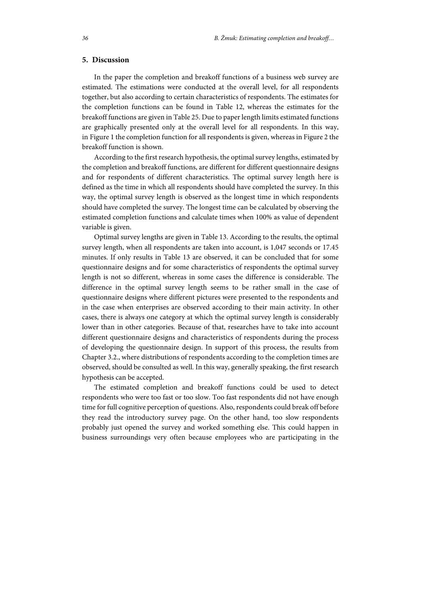# **5. Discussion**

In the paper the completion and breakoff functions of a business web survey are estimated. The estimations were conducted at the overall level, for all respondents together, but also according to certain characteristics of respondents. The estimates for the completion functions can be found in Table 12, whereas the estimates for the breakoff functions are given in Table 25. Due to paper length limits estimated functions are graphically presented only at the overall level for all respondents. In this way, in Figure 1 the completion function for all respondents is given, whereas in Figure 2 the breakoff function is shown.

According to the first research hypothesis, the optimal survey lengths, estimated by the completion and breakoff functions, are different for different questionnaire designs and for respondents of different characteristics. The optimal survey length here is defined as the time in which all respondents should have completed the survey. In this way, the optimal survey length is observed as the longest time in which respondents should have completed the survey. The longest time can be calculated by observing the estimated completion functions and calculate times when 100% as value of dependent variable is given.

Optimal survey lengths are given in Table 13. According to the results, the optimal survey length, when all respondents are taken into account, is 1,047 seconds or 17.45 minutes. If only results in Table 13 are observed, it can be concluded that for some questionnaire designs and for some characteristics of respondents the optimal survey length is not so different, whereas in some cases the difference is considerable. The difference in the optimal survey length seems to be rather small in the case of questionnaire designs where different pictures were presented to the respondents and in the case when enterprises are observed according to their main activity. In other cases, there is always one category at which the optimal survey length is considerably lower than in other categories. Because of that, researches have to take into account different questionnaire designs and characteristics of respondents during the process of developing the questionnaire design. In support of this process, the results from Chapter 3.2., where distributions of respondents according to the completion times are observed, should be consulted as well. In this way, generally speaking, the first research hypothesis can be accepted.

The estimated completion and breakoff functions could be used to detect respondents who were too fast or too slow. Too fast respondents did not have enough time for full cognitive perception of questions. Also, respondents could break off before they read the introductory survey page. On the other hand, too slow respondents probably just opened the survey and worked something else. This could happen in business surroundings very often because employees who are participating in the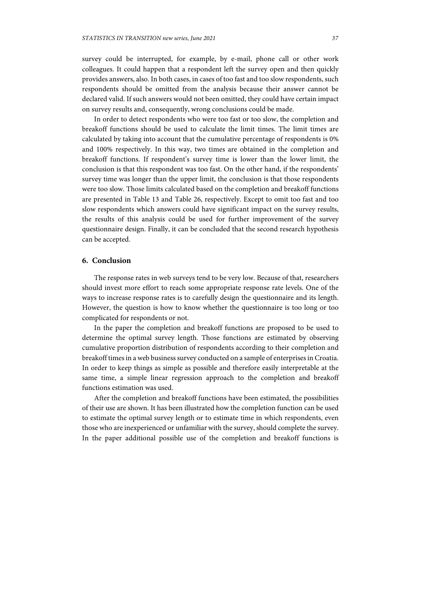survey could be interrupted, for example, by e-mail, phone call or other work colleagues. It could happen that a respondent left the survey open and then quickly provides answers, also. In both cases, in cases of too fast and too slow respondents, such respondents should be omitted from the analysis because their answer cannot be declared valid. If such answers would not been omitted, they could have certain impact on survey results and, consequently, wrong conclusions could be made.

In order to detect respondents who were too fast or too slow, the completion and breakoff functions should be used to calculate the limit times. The limit times are calculated by taking into account that the cumulative percentage of respondents is 0% and 100% respectively. In this way, two times are obtained in the completion and breakoff functions. If respondent's survey time is lower than the lower limit, the conclusion is that this respondent was too fast. On the other hand, if the respondents' survey time was longer than the upper limit, the conclusion is that those respondents were too slow. Those limits calculated based on the completion and breakoff functions are presented in Table 13 and Table 26, respectively. Except to omit too fast and too slow respondents which answers could have significant impact on the survey results, the results of this analysis could be used for further improvement of the survey questionnaire design. Finally, it can be concluded that the second research hypothesis can be accepted.

# **6. Conclusion**

The response rates in web surveys tend to be very low. Because of that, researchers should invest more effort to reach some appropriate response rate levels. One of the ways to increase response rates is to carefully design the questionnaire and its length. However, the question is how to know whether the questionnaire is too long or too complicated for respondents or not.

In the paper the completion and breakoff functions are proposed to be used to determine the optimal survey length. Those functions are estimated by observing cumulative proportion distribution of respondents according to their completion and breakoff times in a web business survey conducted on a sample of enterprises in Croatia. In order to keep things as simple as possible and therefore easily interpretable at the same time, a simple linear regression approach to the completion and breakoff functions estimation was used.

After the completion and breakoff functions have been estimated, the possibilities of their use are shown. It has been illustrated how the completion function can be used to estimate the optimal survey length or to estimate time in which respondents, even those who are inexperienced or unfamiliar with the survey, should complete the survey. In the paper additional possible use of the completion and breakoff functions is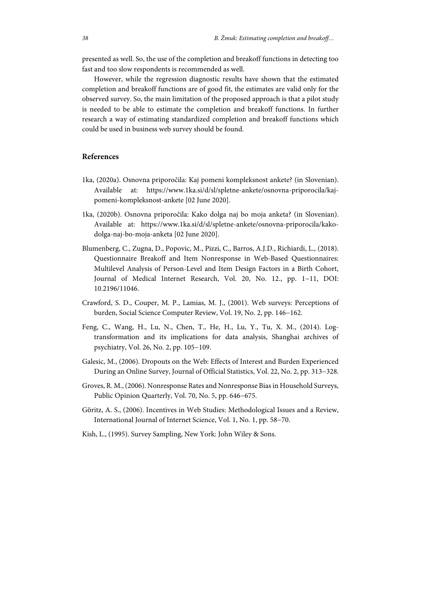presented as well. So, the use of the completion and breakoff functions in detecting too fast and too slow respondents is recommended as well.

However, while the regression diagnostic results have shown that the estimated completion and breakoff functions are of good fit, the estimates are valid only for the observed survey. So, the main limitation of the proposed approach is that a pilot study is needed to be able to estimate the completion and breakoff functions. In further research a way of estimating standardized completion and breakoff functions which could be used in business web survey should be found.

## **References**

- 1ka, (2020a). Osnovna priporočila: Kaj pomeni kompleksnost ankete? (in Slovenian). Available at: https://www.1ka.si/d/sl/spletne-ankete/osnovna-priporocila/kajpomeni-kompleksnost-ankete [02 June 2020].
- 1ka, (2020b). Osnovna priporočila: Kako dolga naj bo moja anketa? (in Slovenian). Available at: https://www.1ka.si/d/sl/spletne-ankete/osnovna-priporocila/kakodolga-naj-bo-moja-anketa [02 June 2020].
- Blumenberg, C., Zugna, D., Popovic, M., Pizzi, C., Barros, A.J.D., Richiardi, L., (2018). Questionnaire Breakoff and Item Nonresponse in Web-Based Questionnaires: Multilevel Analysis of Person-Level and Item Design Factors in a Birth Cohort, Journal of Medical Internet Research, Vol. 20, No. 12., pp. 1−11, DOI: 10.2196/11046.
- Crawford, S. D., Couper, M. P., Lamias, M. J., (2001). Web surveys: Perceptions of burden, Social Science Computer Review, Vol. 19, No. 2, pp. 146−162.
- Feng, C., Wang, H., Lu, N., Chen, T., He, H., Lu, Y., Tu, X. M., (2014). Logtransformation and its implications for data analysis, Shanghai archives of psychiatry, Vol. 26, No. 2, pp. 105−109.
- Galesic, M., (2006). Dropouts on the Web: Effects of Interest and Burden Experienced During an Online Survey, Journal of Official Statistics, Vol. 22, No. 2, pp. 313−328.
- Groves, R. M., (2006). Nonresponse Rates and Nonresponse Bias in Household Surveys, Public Opinion Quarterly, Vol. 70, No. 5, pp. 646−675.
- Göritz, A. S., (2006). Incentives in Web Studies: Methodological Issues and a Review, International Journal of Internet Science, Vol. 1, No. 1, pp. 58−70.
- Kish, L., (1995). Survey Sampling, New York: John Wiley & Sons.